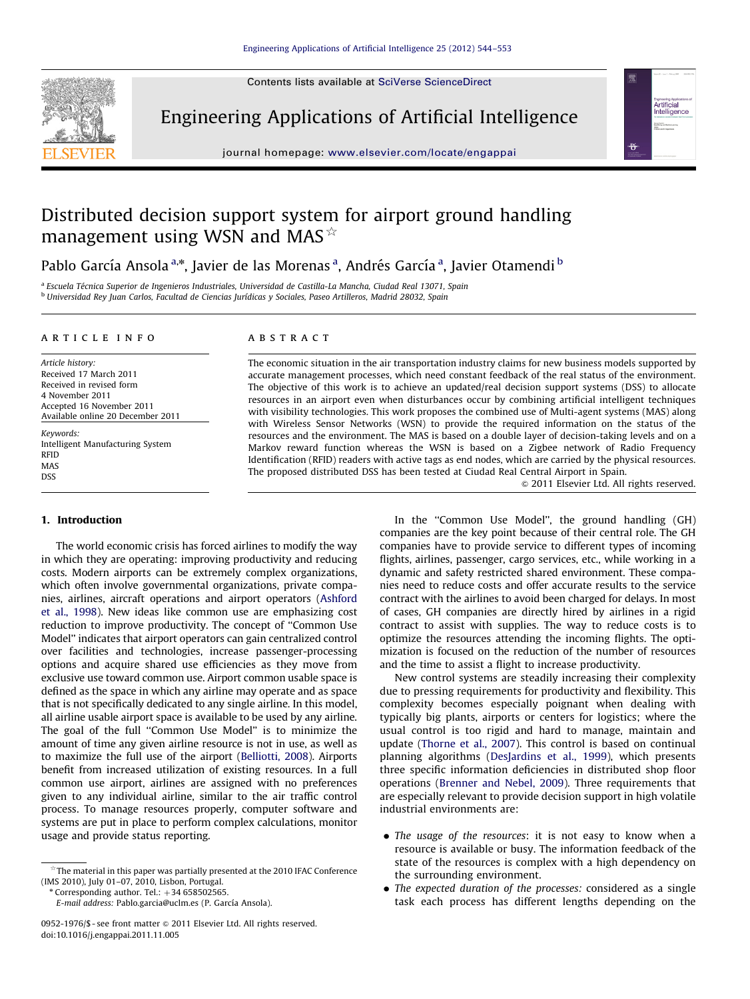Contents lists available at [SciVerse ScienceDirect](www.elsevier.com/locate/engappai)



Engineering Applications of Artificial Intelligence



journal homepage: <www.elsevier.com/locate/engappai>

## Distributed decision support system for airport ground handling management using WSN and MAS $*$

Pablo García Ansola<sup>a,</sup>\*, Javier de las Morenas<sup>a</sup>, Andrés García<sup>a</sup>, Javier Otamendi <sup>b</sup>

<sup>a</sup> Escuela Técnica Superior de Ingenieros Industriales, Universidad de Castilla-La Mancha, Ciudad Real 13071, Spain b Universidad Rey Juan Carlos, Facultad de Ciencias Jurídicas y Sociales, Paseo Artilleros, Madrid 28032, Spain

#### article info

Article history: Received 17 March 2011 Received in revised form 4 November 2011 Accepted 16 November 2011 Available online 20 December 2011

Keywords: Intelligent Manufacturing System RFID MAS DSS

#### 1. Introduction

The world economic crisis has forced airlines to modify the way in which they are operating: improving productivity and reducing costs. Modern airports can be extremely complex organizations, which often involve governmental organizations, private companies, airlines, aircraft operations and airport operators [\(Ashford](#page--1-0) [et al., 1998](#page--1-0)). New ideas like common use are emphasizing cost reduction to improve productivity. The concept of ''Common Use Model'' indicates that airport operators can gain centralized control over facilities and technologies, increase passenger-processing options and acquire shared use efficiencies as they move from exclusive use toward common use. Airport common usable space is defined as the space in which any airline may operate and as space that is not specifically dedicated to any single airline. In this model, all airline usable airport space is available to be used by any airline. The goal of the full "Common Use Model" is to minimize the amount of time any given airline resource is not in use, as well as to maximize the full use of the airport [\(Belliotti, 2008\)](#page--1-0). Airports benefit from increased utilization of existing resources. In a full common use airport, airlines are assigned with no preferences given to any individual airline, similar to the air traffic control process. To manage resources properly, computer software and systems are put in place to perform complex calculations, monitor usage and provide status reporting.

 $^{\circ}$  Corresponding author. Tel.:  $+34$  658502565.

E-mail address: Pablo.garcia@uclm.es (P. García Ansola).

#### **ABSTRACT**

The economic situation in the air transportation industry claims for new business models supported by accurate management processes, which need constant feedback of the real status of the environment. The objective of this work is to achieve an updated/real decision support systems (DSS) to allocate resources in an airport even when disturbances occur by combining artificial intelligent techniques with visibility technologies. This work proposes the combined use of Multi-agent systems (MAS) along with Wireless Sensor Networks (WSN) to provide the required information on the status of the resources and the environment. The MAS is based on a double layer of decision-taking levels and on a Markov reward function whereas the WSN is based on a Zigbee network of Radio Frequency Identification (RFID) readers with active tags as end nodes, which are carried by the physical resources. The proposed distributed DSS has been tested at Ciudad Real Central Airport in Spain.

 $\odot$  2011 Elsevier Ltd. All rights reserved.

In the "Common Use Model", the ground handling (GH) companies are the key point because of their central role. The GH companies have to provide service to different types of incoming flights, airlines, passenger, cargo services, etc., while working in a dynamic and safety restricted shared environment. These companies need to reduce costs and offer accurate results to the service contract with the airlines to avoid been charged for delays. In most of cases, GH companies are directly hired by airlines in a rigid contract to assist with supplies. The way to reduce costs is to optimize the resources attending the incoming flights. The optimization is focused on the reduction of the number of resources and the time to assist a flight to increase productivity.

New control systems are steadily increasing their complexity due to pressing requirements for productivity and flexibility. This complexity becomes especially poignant when dealing with typically big plants, airports or centers for logistics; where the usual control is too rigid and hard to manage, maintain and update ([Thorne et al., 2007\)](#page--1-0). This control is based on continual planning algorithms ([DesJardins et al., 1999](#page--1-0)), which presents three specific information deficiencies in distributed shop floor operations [\(Brenner and Nebel, 2009\)](#page--1-0). Three requirements that are especially relevant to provide decision support in high volatile industrial environments are:

- The usage of the resources: it is not easy to know when a resource is available or busy. The information feedback of the state of the resources is complex with a high dependency on the surrounding environment.
- The expected duration of the processes: considered as a single task each process has different lengths depending on the

 $^{\star}$ The material in this paper was partially presented at the 2010 IFAC Conference (IMS 2010), July 01–07, 2010, Lisbon, Portugal.

<sup>0952-1976/\$-</sup>see front matter © 2011 Elsevier Ltd. All rights reserved. doi:[10.1016/j.engappai.2011.11.005](dx.doi.org/10.1016/j.engappai.2011.11.005)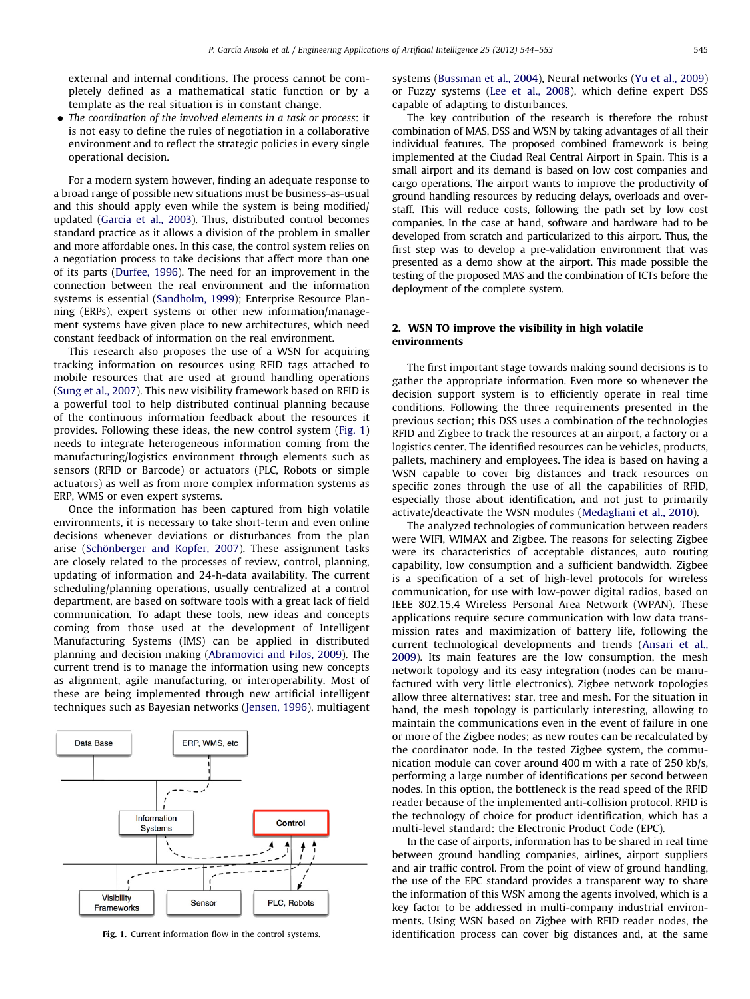external and internal conditions. The process cannot be completely defined as a mathematical static function or by a template as the real situation is in constant change.

• The coordination of the involved elements in a task or process: it is not easy to define the rules of negotiation in a collaborative environment and to reflect the strategic policies in every single operational decision.

For a modern system however, finding an adequate response to a broad range of possible new situations must be business-as-usual and this should apply even while the system is being modified/ updated [\(Garcia et al., 2003](#page--1-0)). Thus, distributed control becomes standard practice as it allows a division of the problem in smaller and more affordable ones. In this case, the control system relies on a negotiation process to take decisions that affect more than one of its parts ([Durfee, 1996](#page--1-0)). The need for an improvement in the connection between the real environment and the information systems is essential [\(Sandholm, 1999](#page--1-0)); Enterprise Resource Planning (ERPs), expert systems or other new information/management systems have given place to new architectures, which need constant feedback of information on the real environment.

This research also proposes the use of a WSN for acquiring tracking information on resources using RFID tags attached to mobile resources that are used at ground handling operations ([Sung et al., 2007](#page--1-0)). This new visibility framework based on RFID is a powerful tool to help distributed continual planning because of the continuous information feedback about the resources it provides. Following these ideas, the new control system (Fig. 1) needs to integrate heterogeneous information coming from the manufacturing/logistics environment through elements such as sensors (RFID or Barcode) or actuators (PLC, Robots or simple actuators) as well as from more complex information systems as ERP, WMS or even expert systems.

Once the information has been captured from high volatile environments, it is necessary to take short-term and even online decisions whenever deviations or disturbances from the plan arise (Schönberger and Kopfer, 2007). These assignment tasks are closely related to the processes of review, control, planning, updating of information and 24-h-data availability. The current scheduling/planning operations, usually centralized at a control department, are based on software tools with a great lack of field communication. To adapt these tools, new ideas and concepts coming from those used at the development of Intelligent Manufacturing Systems (IMS) can be applied in distributed planning and decision making ([Abramovici and Filos, 2009\)](#page--1-0). The current trend is to manage the information using new concepts as alignment, agile manufacturing, or interoperability. Most of these are being implemented through new artificial intelligent techniques such as Bayesian networks [\(Jensen, 1996](#page--1-0)), multiagent



systems ([Bussman et al., 2004](#page--1-0)), Neural networks ([Yu et al., 2009\)](#page--1-0) or Fuzzy systems [\(Lee et al., 2008\)](#page--1-0), which define expert DSS capable of adapting to disturbances.

The key contribution of the research is therefore the robust combination of MAS, DSS and WSN by taking advantages of all their individual features. The proposed combined framework is being implemented at the Ciudad Real Central Airport in Spain. This is a small airport and its demand is based on low cost companies and cargo operations. The airport wants to improve the productivity of ground handling resources by reducing delays, overloads and overstaff. This will reduce costs, following the path set by low cost companies. In the case at hand, software and hardware had to be developed from scratch and particularized to this airport. Thus, the first step was to develop a pre-validation environment that was presented as a demo show at the airport. This made possible the testing of the proposed MAS and the combination of ICTs before the deployment of the complete system.

### 2. WSN TO improve the visibility in high volatile environments

The first important stage towards making sound decisions is to gather the appropriate information. Even more so whenever the decision support system is to efficiently operate in real time conditions. Following the three requirements presented in the previous section; this DSS uses a combination of the technologies RFID and Zigbee to track the resources at an airport, a factory or a logistics center. The identified resources can be vehicles, products, pallets, machinery and employees. The idea is based on having a WSN capable to cover big distances and track resources on specific zones through the use of all the capabilities of RFID, especially those about identification, and not just to primarily activate/deactivate the WSN modules [\(Medagliani et al., 2010\)](#page--1-0).

The analyzed technologies of communication between readers were WIFI, WIMAX and Zigbee. The reasons for selecting Zigbee were its characteristics of acceptable distances, auto routing capability, low consumption and a sufficient bandwidth. Zigbee is a specification of a set of high-level protocols for wireless communication, for use with low-power digital radios, based on IEEE 802.15.4 Wireless Personal Area Network (WPAN). These applications require secure communication with low data transmission rates and maximization of battery life, following the current technological developments and trends [\(Ansari et al.,](#page--1-0) [2009\)](#page--1-0). Its main features are the low consumption, the mesh network topology and its easy integration (nodes can be manufactured with very little electronics). Zigbee network topologies allow three alternatives: star, tree and mesh. For the situation in hand, the mesh topology is particularly interesting, allowing to maintain the communications even in the event of failure in one or more of the Zigbee nodes; as new routes can be recalculated by the coordinator node. In the tested Zigbee system, the communication module can cover around 400 m with a rate of 250 kb/s, performing a large number of identifications per second between nodes. In this option, the bottleneck is the read speed of the RFID reader because of the implemented anti-collision protocol. RFID is the technology of choice for product identification, which has a multi-level standard: the Electronic Product Code (EPC).

In the case of airports, information has to be shared in real time between ground handling companies, airlines, airport suppliers and air traffic control. From the point of view of ground handling, the use of the EPC standard provides a transparent way to share the information of this WSN among the agents involved, which is a key factor to be addressed in multi-company industrial environments. Using WSN based on Zigbee with RFID reader nodes, the Fig. 1. Current information flow in the control systems. identification process can cover big distances and, at the same